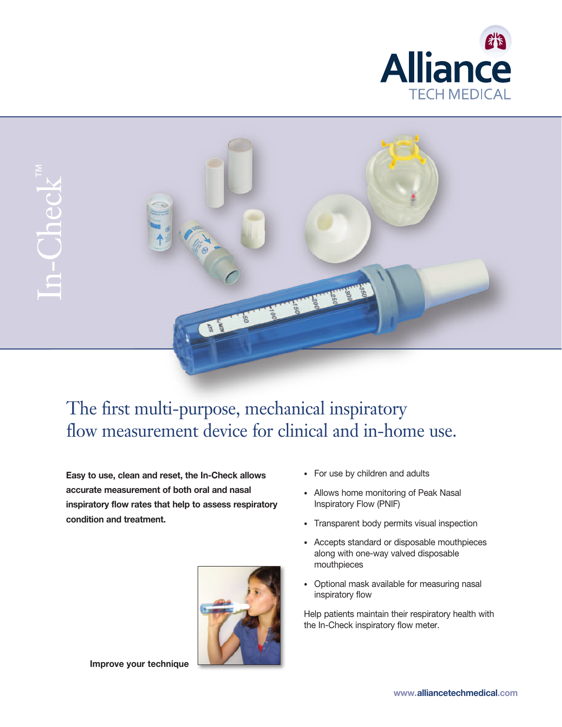



# The first multi-purpose, mechanical inspiratory flow measurement device for clinical and in-home use.

**Easy to use, clean and reset, the In-Check allows accurate measurement of both oral and nasal inspiratory flow rates that help to assess respiratory condition and treatment.**



**Improve your technique**

- For use by children and adults
- Allows home monitoring of Peak Nasal Inspiratory Flow (PNIF)
- Transparent body permits visual inspection
- Accepts standard or disposable mouthpieces along with one-way valved disposable mouthpieces
- Optional mask available for measuring nasal inspiratory flow

Help patients maintain their respiratory health with the In-Check inspiratory flow meter.